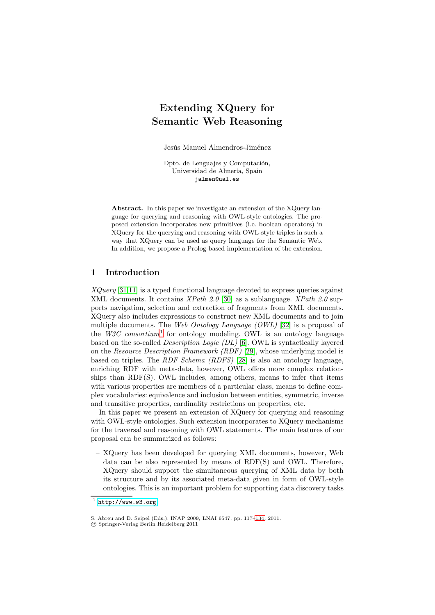# **Extending XQuery for Semantic Web Reasoning**

Jesús Manuel Almendros-Jiménez

Dpto. de Lenguajes y Computación, Universidad de Almería, Spain jalmen@ual.es

**Abstract.** In this paper we investigate an extension of the XQuery language for querying and reasoning with OWL-style ontologies. The proposed extension incorporates new primitives (i.e. boolean operators) in XQuery for the querying and reasoning with OWL-style triples in such a way that XQuery can be used as query language for the Semantic Web. In addition, we propose a Prolog-based implementation of the extension.

# **1 Introduction**

*XQuery* [\[31,](#page-17-0)[11\]](#page-16-0) is a typed functional language devoted to express queries against XML documents. It contains *XPath 2.0* [\[30\]](#page-17-1) as a sublanguage. *XPath 2.0* supports navigation, selection and extraction of fragments from XML documents. XQuery also includes expressions to construct new XML documents and to join multiple documents. The *Web Ontology Language (OWL)* [\[32\]](#page-17-2) is a proposal of the  $W3C$  consortium<sup>[1](#page-0-0)</sup> for ontology modeling. OWL is an ontology language based on the so-called *Description Logic (DL)* [\[6\]](#page-16-1). OWL is syntactically layered on the *Resource Description Framework (RDF)* [\[29\]](#page-17-3), whose underlying model is based on triples. The *RDF Schema (RDFS)* [\[28\]](#page-17-4) is also an ontology language, enriching RDF with meta-data, however, OWL offers more complex relationships than RDF(S). OWL includes, among others, means to infer that items with various properties are members of a particular class, means to define complex vocabularies: equivalence and inclusion between entities, symmetric, inverse and transitive properties, cardinality restrictions on properties, etc.

In this paper we present an extension of XQuery for querying and reasoning with OWL-style ontologies. Such extension incorporates to XQuery mechanisms for the traversal and reasoning with OWL statements. The main features of our proposal can be summarized as follows:

– XQuery has been developed for querying XML documents, however, Web data can be also represented by means of RDF(S) and OWL. Therefore, XQuery should support the simultaneous querying of XML data by both its structure and by its associated meta-data given in form of OWL-style ontologies. This is an important problem for supporting data discovery tasks

<span id="page-0-0"></span> $1$  <http://www.w3.org>

S. Abreu and D. Seipel (Eds.): INAP 2009, LNAI 6547, pp. 117[–134,](#page-15-0) 2011.

<sup>-</sup>c Springer-Verlag Berlin Heidelberg 2011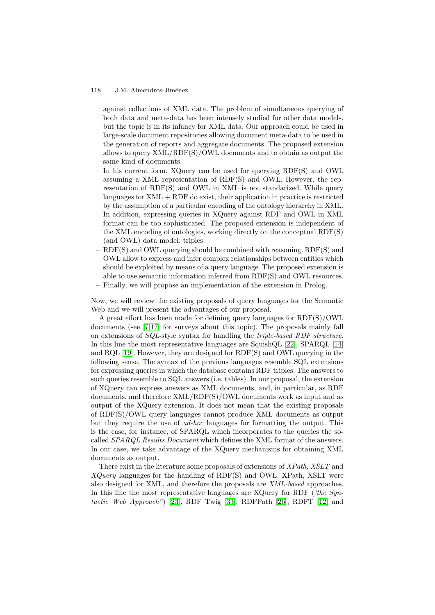against collections of XML data. The problem of simultaneous querying of both data and meta-data has been intensely studied for other data models, but the topic is in its infancy for XML data. Our approach could be used in large-scale document repositories allowing document meta-data to be used in the generation of reports and aggregate documents. The proposed extension allows to query XML/RDF(S)/OWL documents and to obtain as output the same kind of documents.

- In his current form, XQuery can be used for querying RDF(S) and OWL assuming a XML representation of RDF(S) and OWL. However, the representation of RDF(S) and OWL in XML is not standarized. While query languages for  $XML + RDF$  do exist, their application in practice is restricted by the assumption of a particular encoding of the ontology hierarchy in XML. In addition, expressing queries in XQuery against RDF and OWL in XML format can be too sophisticated. The proposed extension is independent of the XML encoding of ontologies, working directly on the conceptual RDF(S) (and OWL) data model: triples.
- RDF(S) and OWL querying should be combined with reasoning. RDF(S) and OWL allow to express and infer complex relationships between entities which should be exploited by means of a query language. The proposed extension is able to use semantic information inferred from RDF(S) and OWL resources.
- Finally, we will propose an implementation of the extension in Prolog.

Now, we will review the existing proposals of query languages for the Semantic Web and we will present the advantages of our proposal.

A great effort has been made for defining query languages for RDF(S)/OWL documents (see [\[7](#page-16-2)[,17\]](#page-16-3) for surveys about this topic). The proposals mainly fall on extensions of *SQL*-style syntax for handling the *triple-based RDF structure*. In this line the most representative languages are SquishQL [\[22\]](#page-17-5), SPARQL [\[14\]](#page-16-4) and RQL [\[19\]](#page-16-5). However, they are designed for RDF(S) and OWL querying in the following sense. The syntax of the previous languages resemble SQL extensions for expressing queries in which the database contains RDF triples. The answers to such queries resemble to SQL answers (i.e. tables). In our proposal, the extension of XQuery can express answers as XML documents, and, in particular, as RDF documents, and therefore XML/RDF(S)/OWL documents work as input and as output of the XQuery extension. It does not mean that the existing proposals of RDF(S)/OWL query languages cannot produce XML documents as output but they require the use of *ad-hoc* languages for formatting the output. This is the case, for instance, of SPARQL which incorporates to the queries the socalled *SPARQL Results Document* which defines the XML format of the answers. In our case, we take advantage of the XQuery mechanisms for obtaining XML documents as output.

There exist in the literature some proposals of extensions of *XPath*, *XSLT* and *XQuery* languages for the handling of RDF(S) and OWL. XPath, XSLT were also designed for XML, and therefore the proposals are *XML-based* approaches. In this line the most representative languages are XQuery for RDF (*'the Syntactic Web Approach"*) [\[23\]](#page-17-6), RDF Twig [\[33\]](#page-17-7), RDFPath [\[26\]](#page-17-8), RDFT [\[12\]](#page-16-6) and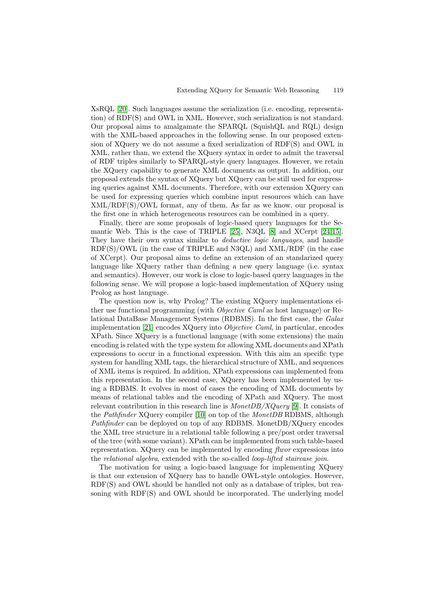XsRQL [\[20\]](#page-16-7). Such languages assume the serialization (i.e. encoding, representation) of RDF(S) and OWL in XML. However, such serialization is not standard. Our proposal aims to amalgamate the SPARQL (SquishQL and RQL) design with the XML-based approaches in the following sense. In our proposed extension of XQuery we do not assume a fixed serialization of RDF(S) and OWL in XML, rather than, we extend the XQuery syntax in order to admit the traversal of RDF triples similarly to SPARQL-style query languages. However, we retain the XQuery capability to generate XML documents as output. In addition, our proposal extends the syntax of XQuery but XQuery can be still used for expressing queries against XML documents. Therefore, with our extension XQuery can be used for expressing queries which combine input resources which can have XML/RDF(S)/OWL format, any of them. As far as we know, our proposal is the first one in which heterogeneous resources can be combined in a query.

Finally, there are some proposals of logic-based query languages for the Semantic Web. This is the case of TRIPLE [\[25\]](#page-17-9), N3QL [\[8\]](#page-16-8) and XCerpt [\[24,](#page-17-10)[15\]](#page-16-9). They have their own syntax similar to *deductive logic languages*, and handle RDF(S)/OWL (in the case of TRIPLE and N3QL) and XML/RDF (in the case of XCerpt). Our proposal aims to define an extension of an standarized query language like XQuery rather than defining a new query language (i.e. syntax and semantics). However, our work is close to logic-based query languages in the following sense. We will propose a logic-based implementation of XQuery using Prolog as host language.

The question now is, why Prolog? The existing XQuery implementations either use functional programming (with *Objective Caml* as host language) or Relational DataBase Management Systems (RDBMS). In the first case, the *Galax* implementation [\[21\]](#page-17-11) encodes XQuery into *Objective Caml*, in particular, encodes XPath. Since XQuery is a functional language (with some extensions) the main encoding is related with the type system for allowing XML documents and XPath expressions to occur in a functional expression. With this aim an specific type system for handling XML tags, the hierarchical structure of XML, and sequences of XML items is required. In addition, XPath expressions can implemented from this representation. In the second case, XQuery has been implemented by using a RDBMS. It evolves in most of cases the encoding of XML documents by means of relational tables and the encoding of XPath and XQuery. The most relevant contribution in this research line is *MonetDB/XQuery* [\[9\]](#page-16-10). It consists of the *Pathfinder* XQuery compiler [\[10\]](#page-16-11) on top of the *MonetDB* RDBMS, although *Pathfinder* can be deployed on top of any RDBMS. MonetDB/XQuery encodes the XML tree structure in a relational table following a pre/post order traversal of the tree (with some variant). XPath can be implemented from such table-based representation. XQuery can be implemented by encoding *flwor* expressions into the *relational algebra*, extended with the so-called *loop-lifted staircase join*.

The motivation for using a logic-based language for implementing XQuery is that our extension of XQuery has to handle OWL-style ontologies. However, RDF(S) and OWL should be handled not only as a database of triples, but reasoning with RDF(S) and OWL should be incorporated. The underlying model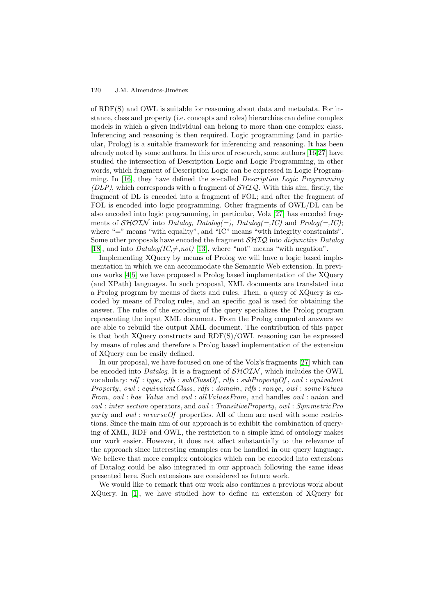of RDF(S) and OWL is suitable for reasoning about data and metadata. For instance, class and property (i.e. concepts and roles) hierarchies can define complex models in which a given individual can belong to more than one complex class. Inferencing and reasoning is then required. Logic programming (and in particular, Prolog) is a suitable framework for inferencing and reasoning. It has been already noted by some authors. In this area of research, some authors [\[16](#page-16-12)[,27\]](#page-17-12) have studied the intersection of Description Logic and Logic Programming, in other words, which fragment of Description Logic can be expressed in Logic Programming. In [\[16\]](#page-16-12), they have defined the so-called *Description Logic Programming*  $(DLP)$ , which corresponds with a fragment of  $\mathcal{SHIQ}$ . With this aim, firstly, the fragment of DL is encoded into a fragment of FOL; and after the fragment of FOL is encoded into logic programming. Other fragments of OWL/DL can be also encoded into logic programming, in particular, Volz [\[27\]](#page-17-12) has encoded fragments of SHOIN into *Datalog*, *Datalog(=)*, *Datalog(=,IC)* and *Prolog(=,IC)*; where "=" means "with equality", and "IC" means "with Integrity constraints". Some other proposals have encoded the fragment SHIQ into *disjunctive Datalog* [\[18\]](#page-16-13), and into  $Database(IC, \neq, not)$  [\[13\]](#page-16-14), where "not" means "with negation".

Implementing XQuery by means of Prolog we will have a logic based implementation in which we can accommodate the Semantic Web extension. In previous works [\[4,](#page-16-15)[5\]](#page-16-16) we have proposed a Prolog based implementation of the XQuery (and XPath) languages. In such proposal, XML documents are translated into a Prolog program by means of facts and rules. Then, a query of XQuery is encoded by means of Prolog rules, and an specific goal is used for obtaining the answer. The rules of the encoding of the query specializes the Prolog program representing the input XML document. From the Prolog computed answers we are able to rebuild the output XML document. The contribution of this paper is that both XQuery constructs and RDF(S)/OWL reasoning can be expressed by means of rules and therefore a Prolog based implementation of the extension of XQuery can be easily defined.

In our proposal, we have focused on one of the Volz's fragments [\[27\]](#page-17-12) which can be encoded into *Datalog*. It is a fragment of  $\mathcal{SHOIN}$ , which includes the OWL vocabulary: *rdf* : *type*, *rdfs* : *subClassOf* , *rdfs* : *subPropertyOf* , *owl* : *equivalent Property*, *owl* : *equivalentClass*, *rdfs* : *domain*, *rdfs* : *range*, *owl* : *someValues From*, *owl* : *has Value* and *owl* : *allValuesFrom*, and handles *owl* : *union* and *owl* : *inter section* operators, and *owl* : *TransitiveProperty*, *owl* : *SymmetricPro per ty* and *owl* : *inver seOf* properties. All of them are used with some restrictions. Since the main aim of our approach is to exhibit the combination of querying of XML, RDF and OWL, the restriction to a simple kind of ontology makes our work easier. However, it does not affect substantially to the relevance of the approach since interesting examples can be handled in our query language. We believe that more complex ontologies which can be encoded into extensions of Datalog could be also integrated in our approach following the same ideas presented here. Such extensions are considered as future work.

We would like to remark that our work also continues a previous work about XQuery. In [\[1\]](#page-15-0), we have studied how to define an extension of XQuery for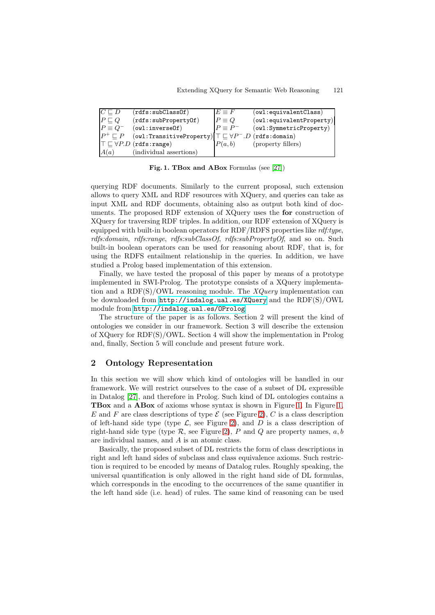| $C \sqsubset D$  | (rdfs:subClassOf)                                                               | $E \equiv F$     | (owl:equivalentClass)    |
|------------------|---------------------------------------------------------------------------------|------------------|--------------------------|
| $P \sqsubset Q$  | (rdfs:subProperty0f)                                                            | $P \equiv Q$     | (owl:equivalentProperty) |
| $P \equiv Q^{-}$ | (owl:inverseOf)                                                                 | $P \equiv P^{-}$ | (owl:SymmetricProperty)  |
| $P^+\sqsubset P$ | (owl:TransitiveProperty) $\vert \top \sqsubseteq \forall P^- . D$ (rdfs:domain) |                  |                          |
|                  | $\top \sqsubseteq \forall P.D \;(\texttt{rdfs:range})$                          | P(a,b)           | (property fillers)       |
| A(a)             | (individual assertions)                                                         |                  |                          |

<span id="page-4-0"></span>**Fig. 1. TBox and ABox** Formulas (see [\[27\]](#page-17-12))

querying RDF documents. Similarly to the current proposal, such extension allows to query XML and RDF resources with XQuery, and queries can take as input XML and RDF documents, obtaining also as output both kind of documents. The proposed RDF extension of XQuery uses the **for** construction of XQuery for traversing RDF triples. In addition, our RDF extension of XQuery is equipped with built-in boolean operators for RDF/RDFS properties like *rdf:type*, *rdfs:domain*, *rdfs:range*, *rdfs:subClassOf*, *rdfs:subPropertyOf*, and so on. Such built-in boolean operators can be used for reasoning about RDF, that is, for using the RDFS entailment relationship in the queries. In addition, we have studied a Prolog based implementation of this extension.

Finally, we have tested the proposal of this paper by means of a prototype implemented in SWI-Prolog. The prototype consists of a XQuery implementation and a RDF(S)/OWL reasoning module. The *XQuery* implementation can be downloaded from <http://indalog.ual.es/XQuery> and the RDF(S)/OWL module from <http://indalog.ual.es/OProlog>.

The structure of the paper is as follows. Section 2 will present the kind of ontologies we consider in our framework. Section 3 will describe the extension of XQuery for RDF(S)/OWL. Section 4 will show the implementation in Prolog and, finally, Section 5 will conclude and present future work.

# <span id="page-4-1"></span>**2 Ontology Representation**

In this section we will show which kind of ontologies will be handled in our framework. We will restrict ourselves to the case of a subset of DL expressible in Datalog [\[27\]](#page-17-12), and therefore in Prolog. Such kind of DL ontologies contains a **TBox** and a **ABox** of axioms whose syntax is shown in Figure [1.](#page-4-0) In Figure [1,](#page-4-0) *E* and *F* are class descriptions of type  $\mathcal E$  (see Figure [2\)](#page-5-0), *C* is a class description of left-hand side type (type  $\mathcal{L}$ , see Figure [2\)](#page-5-0), and  $D$  is a class description of right-hand side type (type R, see Figure [2\)](#page-5-0), *P* and *Q* are property names, *a, b* are individual names, and *A* is an atomic class.

Basically, the proposed subset of DL restricts the form of class descriptions in right and left hand sides of subclass and class equivalence axioms. Such restriction is required to be encoded by means of Datalog rules. Roughly speaking, the universal quantification is only allowed in the right hand side of DL formulas, which corresponds in the encoding to the occurrences of the same quantifier in the left hand side (i.e. head) of rules. The same kind of reasoning can be used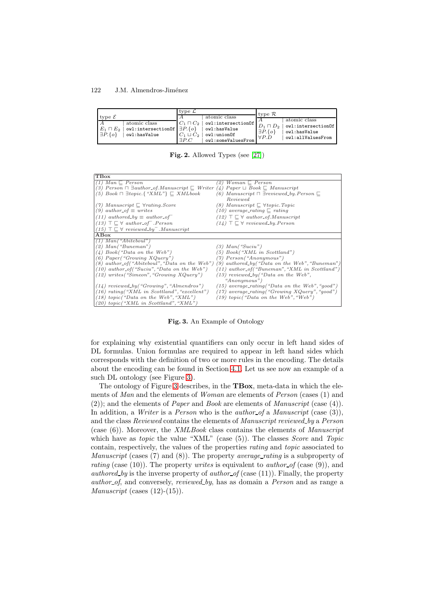|                                                                                                                                                            | type $\mathcal{L}$                                                                                                                         | type $\mathcal{R}$                                                                                                                |
|------------------------------------------------------------------------------------------------------------------------------------------------------------|--------------------------------------------------------------------------------------------------------------------------------------------|-----------------------------------------------------------------------------------------------------------------------------------|
| type $\mathcal E$<br>atomic class<br>$E_1 \sqcap E_2$   owl:intersectionOf $ \exists P.\{o\} $   owl:hasValue<br>$\exists P.\{o\}$<br>$\vert$ owl:hasValue | atomic class<br>$C_1 \sqcap C_2$   owl:intersectionOf  <br>$C_1 \sqcup C_2$<br>$\vert$ owl:unionOf<br>owl:someValuesFrom<br>$\exists P.C.$ | atomic class<br>$D_1 \sqcap D_2$<br>owl:intersectionOf<br>$\exists P.\{o\}$<br>owl:hasValue<br>$\forall P.D$<br>owl:allValuesFrom |

<span id="page-5-0"></span>**Fig. 2.** Allowed Types (see [\[27\]](#page-17-12))

| <b>TBox</b>                                                                                             |                                                                                               |
|---------------------------------------------------------------------------------------------------------|-----------------------------------------------------------------------------------------------|
| $(1)$ Man $\sqsubset$ Person                                                                            | (2) Woman □ Person                                                                            |
| (3) Person $\Box$ $\exists$ author_of. Manuscript $\Box$ Writer (4) Paper $\Box$ Book $\Box$ Manuscript |                                                                                               |
| (5) Book $\sqcap \exists topic.\{\text{``XML''}\}\sqsubset XMLbook$                                     | (6) Manuscript $\sqcap \exists reviewed\_by.Person \sqsubseteq$<br>Reviewed                   |
| $(7)$ Manuscript $\Box$ $\forall$ rating. Score                                                         | $(8)$ Manuscript $\Box$ $\forall$ topic. Topic                                                |
| (9) author-of $\equiv$ writes                                                                           | $(10)$ average-rating $\Box$ rating                                                           |
| $(11)$ authored_by $\equiv$ author_of                                                                   | $(12)$ $\top \square \forall$ author_of.Manuscript                                            |
| $(13)$ $\top \square \forall$ author-of Person                                                          | $(14)$ $\top \sqsubset \forall$ reviewed_by. Person                                           |
| $(15)$ $\top \sqsubset \forall$ reviewed_by $\Box$ Manuscript                                           |                                                                                               |
| ABox                                                                                                    |                                                                                               |
| $(1)$ Man("Abiteboul")                                                                                  |                                                                                               |
| $(2)$ Man("Buneman")                                                                                    | $(3)$ Man("Suciu")                                                                            |
| $(4)$ Book("Data on the Web")                                                                           | (5) Book("XML in Scottland")                                                                  |
| (6) $Paper('Growing XQuery")$                                                                           | $(7)$ Person("Anonymous")                                                                     |
|                                                                                                         | (8) author_of ("Abiteboul", "Data on the Web") (9) authored_by ("Data on the Web", "Buneman") |
| $(10)$ author_of("Suciu", "Data on the Web")                                                            | $(11)$ author_of("Buneman", "XML in Scottland")                                               |
| $(12)$ writes ("Simeon", "Growing XQuery")                                                              | $(13)$ reviewed_by("Data on the Web",                                                         |
|                                                                                                         | $"Anonymous"$ )                                                                               |
| $(14)$ reviewed_by("Growing", "Almendros")                                                              | $(15)$ average_rating("Data on the Web", "good")                                              |
| $(16)$ rating("XML in Scottland", "excellent")                                                          | $(17)$ average_rating("Growing XQuery", "good")                                               |
| $(18)$ topic("Data on the Web", "XML")                                                                  | $(19)$ topic ("Data on the Web", "Web")                                                       |
| $(20)$ topic $($ "XML in Scottland", "XML")                                                             |                                                                                               |

<span id="page-5-1"></span>**Fig. 3.** An Example of Ontology

for explaining why existential quantifiers can only occur in left hand sides of DL formulas. Union formulas are required to appear in left hand sides which corresponds with the definition of two or more rules in the encoding. The details about the encoding can be found in Section [4.1.](#page-8-0) Let us see now an example of a such DL ontology (see Figure [3\)](#page-5-1).

The ontology of Figure [3](#page-5-1) describes, in the **TBox**, meta-data in which the elements of *Man* and the elements of *Woman* are elements of *Person* (cases (1) and (2)); and the elements of *Paper* and *Book* are elements of *Manuscript* (case (4)). In addition, a *Writer* is a *Person* who is the *author of* a *Manuscript* (case (3)), and the class *Reviewed* contains the elements of *Manuscript reviewed by* a *Person* (case (6)). Moreover, the *XMLBook* class contains the elements of *Manuscript* which have as *topic* the value "XML" (case (5)). The classes *Score* and *Topic* contain, respectively, the values of the properties *rating* and *topic* associated to *Manuscript* (cases (7) and (8)). The property *average rating* is a subproperty of *rating* (case (10)). The property *writes* is equivalent to *author of* (case (9)), and *authored\_by* is the inverse property of *author\_of* (case  $(11)$ ). Finally, the property *author of*, and conversely, *reviewed by*, has as domain a *Person* and as range a *Manuscript* (cases (12)-(15)).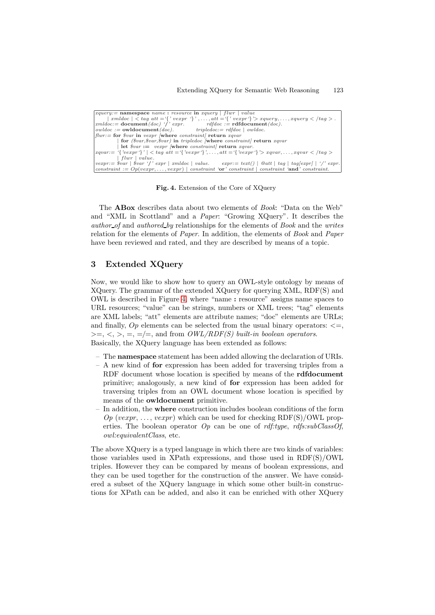| $ xquery  =$ namespace name: resource in xquery   flwr   value                                                                                                                                                                                                                                                                                                    |  |  |
|-------------------------------------------------------------------------------------------------------------------------------------------------------------------------------------------------------------------------------------------------------------------------------------------------------------------------------------------------------------------|--|--|
| $r \cdot \text{r}$ $\vert \langle \text{tag at} t = \langle \cdot \rangle \text{/} \cdot \langle \cdot \rangle$ ,, $\text{at} = \langle \cdot \rangle \text{/} \cdot \langle \cdot \rangle$ $\vert \text{very} \rangle \cdot \langle \cdot \rangle$ , $\text{query} \langle \cdot \rangle$ $\vert \text{tag} \rangle$ .                                           |  |  |
| $\mathcal{L}$ and $\mathcal{L}$ document $(\mathcal{L}(\mathcal{L}))'$ and $\mathcal{L}(\mathcal{L})$ are $\mathcal{L}(\mathcal{L})$ and $\mathcal{L}(\mathcal{L})$ and $\mathcal{L}(\mathcal{L})$ and $\mathcal{L}(\mathcal{L})$ and $\mathcal{L}(\mathcal{L})$ and $\mathcal{L}(\mathcal{L})$ and $\mathcal{L}(\mathcal{L})$ and $\mathcal{L}(\mathcal{L})$ and |  |  |
| $\vert \textit{owldoc} \vert := \textbf{owldocument}(doc).$ $\qquad \qquad \textit{tripledoc} := \textit{rdfdoc} \vert \textit{owldoc}.$                                                                                                                                                                                                                          |  |  |
| $\vert \textit{flwr} \vert =$ for <i>\$var</i> in <i>vexpr</i> /where <i>constraint</i> / return <i>xqvar</i>                                                                                                                                                                                                                                                     |  |  |
| for $(\$var, \$var, \$var, \$var)$ in tripledoc where constraint return xquar                                                                                                                                                                                                                                                                                     |  |  |
| let $\$var := \text{very }$ /where constraint/ return xquar.                                                                                                                                                                                                                                                                                                      |  |  |
| $ xqvar\rangle = \{ \text{ 'vexpr } \}$ $  \langle \text{ tag } att = \{\text{ 'vexpr } \} \rangle, , att = \{\text{ 'vexpr } \} \rangle$ x $qvar, , xqvar \langle \text{ tag } \rangle$                                                                                                                                                                          |  |  |
| $\vert$ flwr $\vert$ value.                                                                                                                                                                                                                                                                                                                                       |  |  |
| $ verpr := $var \mid $var \mid 'empty \mid \text{error} \mid \text{embed}   value.$ expr:= $text() \mid @att \mid tag \mid tag(expr) \mid ' \mid 'error.$                                                                                                                                                                                                         |  |  |
| $ constraint := Op(veryr, , vexpr)  constant 'or' constraint   constraint 'and' constraint.$                                                                                                                                                                                                                                                                      |  |  |

<span id="page-6-0"></span>**Fig. 4.** Extension of the Core of XQuery

The **ABox** describes data about two elements of *Book*: "Data on the Web" and "XML in Scottland" and a *Paper*: "Growing XQuery". It describes the *author of* and *authored by* relationships for the elements of *Book* and the *writes* relation for the elements of *Paper*. In addition, the elements of *Book* and *Paper* have been reviewed and rated, and they are described by means of a topic.

# **3 Extended XQuery**

Now, we would like to show how to query an OWL-style ontology by means of XQuery. The grammar of the extended XQuery for querying XML, RDF(S) and OWL is described in Figure [4,](#page-6-0) where "name **:** resource" assigns name spaces to URL resources; "value" can be strings, numbers or XML trees; "tag" elements are XML labels; "att" elements are attribute names; "doc" elements are URLs; and finally, *Op* elements can be selected from the usual binary operators: *<*=,  $\geq$  =,  $\leq$ ,  $\geq$ ,  $=$ ,  $=\neq$ , and from *OWL/RDF(S) built-in boolean operators*. Basically, the XQuery language has been extended as follows:

- The **namespace** statement has been added allowing the declaration of URIs.
- A new kind of **for** expression has been added for traversing triples from a RDF document whose location is specified by means of the **rdfdocument** primitive; analogously, a new kind of **for** expression has been added for traversing triples from an OWL document whose location is specified by means of the **owldocument** primitive.
- In addition, the **where** construction includes boolean conditions of the form  $Op (vexpr, \ldots, vexpr)$  which can be used for checking RDF(S)/OWL properties. The boolean operator *Op* can be one of *rdf:type*, *rdfs:subClassOf*, *owl:equivalentClass*, etc.

The above XQuery is a typed language in which there are two kinds of variables: those variables used in XPath expressions, and those used in RDF(S)/OWL triples. However they can be compared by means of boolean expressions, and they can be used together for the construction of the answer. We have considered a subset of the XQuery language in which some other built-in constructions for XPath can be added, and also it can be enriched with other XQuery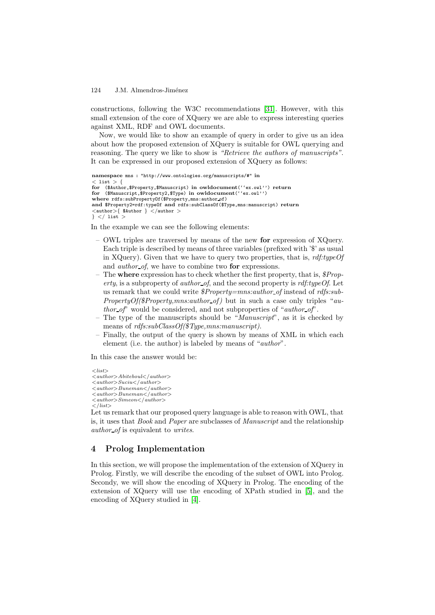constructions, following the W3C recommendations [\[31\]](#page-17-0). However, with this small extension of the core of XQuery we are able to express interesting queries against XML, RDF and OWL documents.

Now, we would like to show an example of query in order to give us an idea about how the proposed extension of XQuery is suitable for OWL querying and reasoning. The query we like to show is *"Retrieve the authors of manuscripts"*. It can be expressed in our proposed extension of XQuery as follows:

```
namespace mns : "http://www.ontologies.org/manuscripts/#" in
< list > {
for ($Author,$Property,$Manuscript) in owldocument(''ex.owl'') return
for ($Manuscript,$Property2,$Type) in owldocument(''ex.owl'')
where rdfs:subPropertyOf($Property,mns:author of)
and $Property2=rdf:typeOf and rdfs:subClassOf($Type,mns:manuscript) return
<author>{ $Author } </author >
} </ list >
```
In the example we can see the following elements:

- OWL triples are traversed by means of the new **for** expression of XQuery. Each triple is described by means of three variables (prefixed with '\$' as usual in XQuery). Given that we have to query two properties, that is, *rdf:typeOf* and *author of*, we have to combine two **for** expressions.
- The **where** expression has to check whether the first property, that is, *\$Property*, is a subproperty of *author of*, and the second property is *rdf:typeOf*. Let us remark that we could write *\$Property=mns:author of* instead of *rdfs:sub-PropertyOf(\$Property,mns:author of )* but in such a case only triples "*author of*" would be considered, and not subproperties of "*author of*".
- The type of the manuscripts should be "*Manuscript*", as it is checked by means of *rdfs:subClassOf(\$Type,mns:manuscript)*.
- Finally, the output of the query is shown by means of XML in which each element (i.e. the author) is labeled by means of "*author*".

In this case the answer would be:

```
<list>
<author>Abiteboul</author>
<author>Suciu</author>
<author>Buneman</author>
<author>Buneman</author>
<author>Simeon</author>
</list>
```
Let us remark that our proposed query language is able to reason with OWL, that is, it uses that *Book* and *Paper* are subclasses of *Manuscript* and the relationship *author of* is equivalent to *writes*.

# **4 Prolog Implementation**

In this section, we will propose the implementation of the extension of XQuery in Prolog. Firstly, we will describe the encoding of the subset of OWL into Prolog. Secondy, we will show the encoding of XQuery in Prolog. The encoding of the extension of XQuery will use the encoding of XPath studied in [\[5\]](#page-16-16), and the encoding of XQuery studied in [\[4\]](#page-16-15).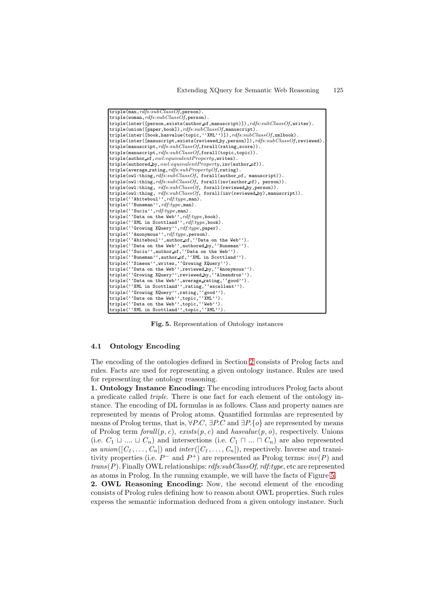

<span id="page-8-1"></span>**Fig. 5.** Representation of Ontology instances

### <span id="page-8-0"></span>**4.1 Ontology Encoding**

The encoding of the ontologies defined in Section [2](#page-4-1) consists of Prolog facts and rules. Facts are used for representing a given ontology instance. Rules are used for representing the ontology reasoning.

**1. Ontology Instance Encoding:** The encoding introduces Prolog facts about a predicate called *triple*. There is one fact for each element of the ontology instance. The encoding of DL formulas is as follows. Class and property names are represented by means of Prolog atoms. Quantified formulas are represented by means of Prolog terms, that is, ∀*P.C*, ∃*P.C* and ∃*P.*{*o*} are represented by means of Prolog term  $\text{for all}(p, c)$ ,  $\text{exists}(p, c)$  and  $\text{hasvalue}(p, o)$ , respectively. Unions (i.e.  $C_1 \sqcup ... \sqcup C_n$ ) and intersections (i.e.  $C_1 \sqcap ... \sqcap C_n$ ) are also represented as  $union([C_1, \ldots, C_n])$  and  $inter([C_1, \ldots, C_n])$ , respectively. Inverse and transitivity properties (i.e.  $P^-$  and  $P^+$ ) are represented as Prolog terms:  $inv(P)$  and *trans*(*P*). Finally OWL relationships: *rdfs:subClassOf*, *rdf:type*, etc are represented as atoms in Prolog. In the running example, we will have the facts of Figure [5.](#page-8-1)

**2. OWL Reasoning Encoding:** Now, the second element of the encoding consists of Prolog rules defining how to reason about OWL properties. Such rules express the semantic information deduced from a given ontology instance. Such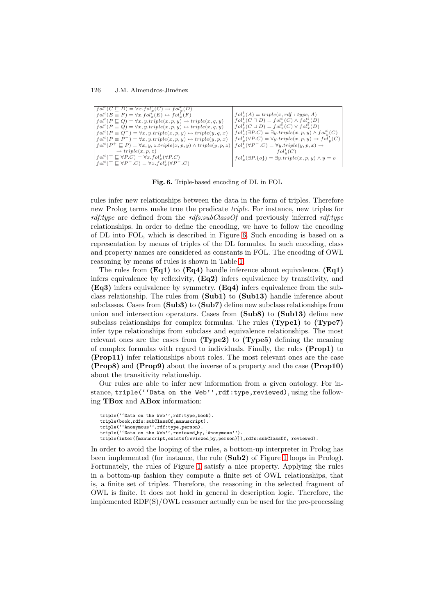| $folt(C \sqsubseteq D) = \forall x. folxt(C) \rightarrow folxt(D)$                     |                                                                            |
|----------------------------------------------------------------------------------------|----------------------------------------------------------------------------|
| $folt(E \equiv F) = \forall x . folxt(E) \leftrightarrow folxt(F)$                     | $foltx(A) = triple(x, rdf : type, A)$                                      |
| $folt(P \sqsubseteq Q) = \forall x, y. triple(x, p, y) \rightarrow triple(x, q, y)$    | $f \circ l_x^t(C \sqcap D) = f \circ l_x^t(C) \wedge f \circ l_x^t(D)$     |
| $folt(P \equiv Q) = \forall x, y. triple(x, p, y) \leftrightarrow triple(x, q, y)$     | $f \circ l_x^t(C \sqcup D) = f \circ l_x^t(C) \vee f \circ l_x^t(D)$       |
| $folt(P \equiv Q^{-}) = \forall x, y. triple(x, p, y) \leftrightarrow triple(y, q, x)$ | $fol_x^t(\exists P.C) = \exists y. triple(x, p, y) \wedge fol_y^t(C)$      |
| $folt(P \equiv P-) = \forall x, y. triple(x, p, y) \leftrightarrow triple(y, p, x)$    | $fol_x^t(\forall P.C) = \forall y. triple(x, p, y) \rightarrow fol_x^t(C)$ |
| $folt(P+ ⊆ P) = \forall x, y, z. triple(x, p, y) \wedge triple(y, p, z)$               | $fol_x^t(\forall P^- . C) = \forall y. triple(y, p, x) \rightarrow$        |
| $\rightarrow triple(x, p, z)$                                                          | $f\circ l_y^t(C)$                                                          |
| $folt(\top \sqsubseteq \forall P.C) = \forall x.fol_x^t(\forall P.C)$                  | $foltx(\exists P.\{o\}) = \exists y. triple(x, p, y) \land y = o$          |
| $folt(T \sqsubseteq \forall P^{-}.C) = \forall x. fol_{x}^{t}(\forall P^{-}.C)$        |                                                                            |

<span id="page-9-0"></span>**Fig. 6.** Triple-based encoding of DL in FOL

rules infer new relationships between the data in the form of triples. Therefore new Prolog terms make true the predicate *triple*. For instance, new triples for *rdf:type* are defined from the *rdfs:subClassOf* and previously inferred *rdf:type* relationships. In order to define the encoding, we have to follow the encoding of DL into FOL, which is described in Figure [6.](#page-9-0) Such encoding is based on a representation by means of triples of the DL formulas. In such encoding, class and property names are considered as constants in FOL. The encoding of OWL reasoning by means of rules is shown in Table [1.](#page-10-0)

The rules from **(Eq1)** to **(Eq4)** handle inference about equivalence. **(Eq1)** infers equivalence by reflexivity, **(Eq2)** infers equivalence by transitivity, and **(Eq3)** infers equivalence by symmetry. **(Eq4)** infers equivalence from the subclass relationship. The rules from **(Sub1)** to **(Sub13)** handle inference about subclasses. Cases from **(Sub3)** to **(Sub7)** define new subclass relationships from union and intersection operators. Cases from **(Sub8)** to **(Sub13)** define new subclass relationships for complex formulas. The rules **(Type1)** to **(Type7)** infer type relationships from subclass and equivalence relationships. The most relevant ones are the cases from **(Type2)** to **(Type5)** defining the meaning of complex formulas with regard to individuals. Finally, the rules **(Prop1)** to **(Prop11)** infer relationships about roles. The most relevant ones are the case **(Prop8)** and **(Prop9)** about the inverse of a property and the case **(Prop10)** about the transitivity relationship.

Our rules are able to infer new information from a given ontology. For instance, triple(''Data on the Web'', rdf:type, reviewed), using the following **TBox** and **ABox** information:

triple(''Data on the Web'',rdf:type,book). triple(book,rdfs:subClassOf,manuscript). triple(''Anonymous'',rdf:type,person). triple(''Data on the Web'',reviewed by,'Anonymous''). triple(inter([manuscript,exists(reviewed by,person)]),rdfs:subClassOf, reviewed).

In order to avoid the looping of the rules, a bottom-up interpreter in Prolog has been implemented (for instance, the rule (**Sub2**) of Figure [1](#page-10-0) loops in Prolog). Fortunately, the rules of Figure [1](#page-10-0) satisfy a nice property. Applying the rules in a bottom-up fashion they compute a finite set of OWL relationships, that is, a finite set of triples. Therefore, the reasoning in the selected fragment of OWL is finite. It does not hold in general in description logic. Therefore, the implemented RDF(S)/OWL reasoner actually can be used for the pre-processing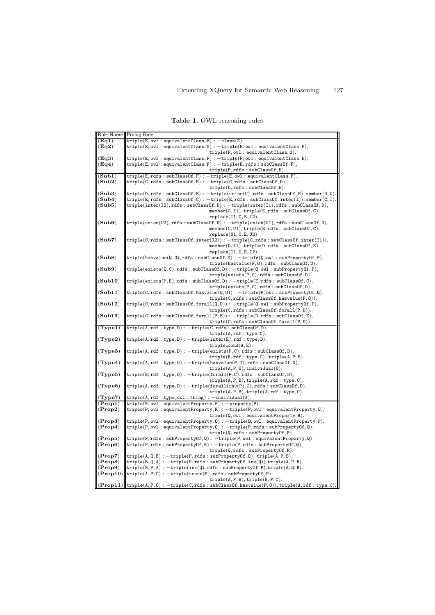<span id="page-10-0"></span>**Table 1.** OWL reasoning rules

|                    | Rule Name Prolog Rule                                                                                                                                                                                                      |
|--------------------|----------------------------------------------------------------------------------------------------------------------------------------------------------------------------------------------------------------------------|
| (Eq1)              | $triple(E, out: equivalentClass, E): -class(E).$                                                                                                                                                                           |
| (Eq2)              | $\texttt{triple}(E, \texttt{owl}: \texttt{equivalentClass}, G): - \texttt{triple}(E, \texttt{owl}: \texttt{equivalentClass}, F),$                                                                                          |
|                    | triple(F, owl : equivalentClass, G).                                                                                                                                                                                       |
| (Eq3)              | $\texttt{triple}(E,\texttt{owl}:equivalentClass,F): - \texttt{triple}(F,\texttt{owl}:equivalentClass,E).$                                                                                                                  |
| (Eq4)              | $\texttt{triple}(E, \texttt{owl}: \texttt{equivalentClass}, F): - \texttt{triple}(E, \texttt{rdfs}: \texttt{subClassOf}, F),$                                                                                              |
|                    | triple(F, rdfs:subClassOf, E).                                                                                                                                                                                             |
| (Sub1)             | $triple(E, rdfs:subClassOf, F) : -triple(E, owl: equivalentClass, F).$                                                                                                                                                     |
| (Sub2)             | $triple(C, rdfs:subClassOf, E) : -triple(C, rdfs:subClassOf, D),$                                                                                                                                                          |
|                    | triple(D, rdfs:subClassOf, E).                                                                                                                                                                                             |
| (Sub3)             | $\text{triple}(D, \text{rdfs}: \text{subClassOf}, E): -\text{triple}(\text{union}(U), \text{rdfs}: \text{subClassOf}, E), \text{member}(D, U).$                                                                            |
| (Sub4)             | $\text{triple}(E,\text{rdfs}:subClassOf,C): -\text{triple}(E,\text{rdfs}:subClassOf,inter(I)),\text{member}(C,I).$                                                                                                         |
| (Sub5)             | $triple(inter(I2), rdfs: subClassOf, D) : -triple(inter(I1), rdfs: subClassOf, D),$                                                                                                                                        |
|                    | $member(C, I1), triple(E, rdfs: subClassOf, C),$                                                                                                                                                                           |
|                    | replace(I1, C, E, I2).                                                                                                                                                                                                     |
| (Sub6)             | $triple(union(U2), rdfs: subClassOf, D) : -triple(union(U1), rdfs: subClassOf, D),$                                                                                                                                        |
|                    | $member(C, U1), triple(E, rdfs: subClassOf, C),$                                                                                                                                                                           |
|                    | replace(U1, C, E, U2).                                                                                                                                                                                                     |
| (Sub7)             | $\text{triple}(C, \text{rdfs}: \text{subClassOf}, \text{inter}(I2)): - \text{triple}(C, \text{rdfs}: \text{subClassOf}, \text{inter}(I1)),$                                                                                |
|                    | $\mathtt{member(D, I1)}, \mathtt{triple(D, rdfs:subClassOf, E)},$                                                                                                                                                          |
|                    | replace(I1, D, E, I2).                                                                                                                                                                                                     |
| (Sub8)             | $triple(hasvalue(Q, 0), rds: subClassOf, D): -triple(Q, owl: subPropertyOf, P),$                                                                                                                                           |
|                    | $triple(hasvalue(P, 0), rdfs:subClassOf, D).$                                                                                                                                                                              |
| (Sub9)             | $\texttt{triple}(\texttt{exists}(\texttt{Q},\texttt{C}),\texttt{rdfs}:\texttt{subClassOf},\texttt{D}): - \texttt{triple}(\texttt{Q},\texttt{owl}:\texttt{subPropertyOf},\texttt{P}),$                                      |
|                    | $triple(exists(P, C), rdfs: subClassOf, D).$                                                                                                                                                                               |
| (Sub10)            | $triple(exists(P, E), rdfs: subClassOf, D) : -triple(E, rdfs: subClassOf, C),$                                                                                                                                             |
|                    | $triple(exists(P, C), rdfs: subClassOf, D).$                                                                                                                                                                               |
| (Sub11)            | $\text{triple}(C, \text{rdfs}: \text{subClassOf}, \text{hasvalue}(Q, 0)) : -\text{triple}(P, \text{owl}: \text{subPropertyOf}, Q),$                                                                                        |
|                    | $triple(C, rdfs::subClassOf, hasvalue(P, 0)).$                                                                                                                                                                             |
| (Sub12)            | $triple(C, rdfs:subClassOf, for all(Q, D)) : -triple(Q, owl:subPropertyOf, P),$                                                                                                                                            |
|                    | $triple(C, rdfs:subClassOf, for all(P, D)).$                                                                                                                                                                               |
| (Sub13)            | $triple(C, rdfs:subClassOf, forall(P, E)) : -triple(D, rdfs:subClassOf, E),$                                                                                                                                               |
|                    | $triple(C, rdfs:subClassOf, for all(P, D)).$                                                                                                                                                                               |
| $(\textbf{Type1})$ | $\texttt{triple(A, rdf : type, D) : -triple(C, rdfs : subClassOf, D)},$                                                                                                                                                    |
|                    | triple(A, rdf : type, C).                                                                                                                                                                                                  |
| (Type2)            | $\tt triple(A, rdf : type, D) : -triple(inter(E), rdf : type, D),$                                                                                                                                                         |
|                    | triplecond(A, E).                                                                                                                                                                                                          |
| (Type3)            | $triple(A, rdf : type, D) : -triple(exists(P, C), rdfs : subClassOf, D),$                                                                                                                                                  |
|                    | $triple(B, rdf : type, C), triple(A, P, B).$                                                                                                                                                                               |
| (Type4)            | $triple(A, rdf : type, D) : -triple(hasvalue(P, 0), rdfs : subClassOf, D),$                                                                                                                                                |
|                    | triple(A, P, 0), individual(0).                                                                                                                                                                                            |
| (Type5)            | $\texttt{triple}(B, \texttt{rdf}:\texttt{type}, D): - \texttt{triple}(\texttt{forall}(P, C), \texttt{rdfs}:\texttt{subClassOf}, D),$                                                                                       |
|                    | $triple(A, P, B), triple(A, rdf : type, C).$                                                                                                                                                                               |
| (Type6)            | $triple(A, rdf : type, D): -triple(forall(inv(P), C), rdfs : subClassOf, D),$                                                                                                                                              |
|                    | $triple(A, P, B), triple(A, rdf : type, C).$                                                                                                                                                                               |
| (Type7)<br>(Prop1) | $\texttt{triple}(\texttt{A},\texttt{rdf}:\texttt{type},\texttt{owl}:\texttt{thing}):-\texttt{individual}(\texttt{A}).$<br>$\texttt{triple}(P,\texttt{owl}:$ equivalent $\texttt{Property}, P)$ : $-\texttt{property}(P)$ . |
| (Prop2)            | $\text{triple}(P, \text{owl}: \text{equivalentProperty}, R): - \text{triple}(P, \text{owl}: \text{equivalentProperty}, Q),$                                                                                                |
|                    | $triple(Q, owl : equivalentProperty, R).$                                                                                                                                                                                  |
| (Prop3)            | $\texttt{triple}(\texttt{P}, \texttt{owl}:\texttt{equivalentProperty}, \texttt{Q}):\texttt{-triple}(\texttt{Q}, \texttt{owl}:\texttt{equivalentProperty}, \texttt{P}).$                                                    |
| (Prop4)            | $\texttt{triple}(P,\texttt{owl}: \texttt{equivalentProperty}, Q): - \texttt{triple}(P, \texttt{rdfs}: \texttt{subPropertyOf}, Q),$                                                                                         |
|                    | triple(Q, rdfs:subProperty0f, P).                                                                                                                                                                                          |
| (Prop5)            | $\texttt{triple}(P, \texttt{rdfs}: \texttt{subPropertyOf}, \texttt{Q}): - \texttt{triple}(P, \texttt{owl}: \texttt{equivalentProperty}, \texttt{Q}).$                                                                      |
| (Prop6)            | $\texttt{triple}(P, \texttt{rdfs}: \texttt{subPropertyOf}, R): - \texttt{triple}(P, \texttt{rdfs}: \texttt{subPropertyOf}, Q),$                                                                                            |
|                    | triple(Q, rdfs:subPropertyOf, R).                                                                                                                                                                                          |
| (Prop7)            | $triple(A, Q, B)$ : -triple $(P, rdfs: subProperty0f, Q)$ , triple $(A, P, B)$ .                                                                                                                                           |
| (Prop8)            | $\text{triple}(B,Q,A)$ : $-\text{triple}(P,\text{rdfs}:subPropertyOf,inv(Q)),\text{triple}(A,P,B).$                                                                                                                        |
| (Prop9)            | $\text{triple}(B, P, A) : -\text{triple}(\text{inv}(Q), \text{rdfs}: \text{subPropertyOf}, P), \text{triple}(A, Q, B).$                                                                                                    |
|                    | $(Prop10)$  triple(A, P, C): -triple(trans(P), rdfs: subPropertyOf, P),                                                                                                                                                    |
|                    | triple(A, P, B), triple(B, P, C).                                                                                                                                                                                          |
|                    | $(Prop11)$  triple $(A, P, 0)$ : -triple $(C, r$ dfs: subClassOf, hasvalue $(P, 0)$ ), triple $(A, r$ df: type, C).                                                                                                        |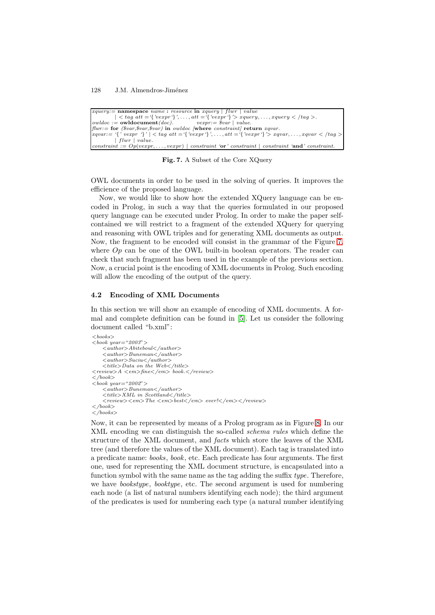| <i>xquery</i> := <b>namespace</b> <i>name</i> : <i>resource</i> <b>in</b> <i>xquery</i>   <i>flwr</i>   <i>value</i>                                                                                      |
|-----------------------------------------------------------------------------------------------------------------------------------------------------------------------------------------------------------|
| $\vert \langle \text{tag} att = \{ \text{'very'} \} \rangle, \ldots, att = \{ \text{'}very' \} \rangle \rangle \text{.} \ x query, \ldots, x query \langle \text{ (tag )}.$                               |
| $\textit{owldoc} := \textbf{owldocument}(\textit{doc}).$ $\textit{vexpr} := \textit{Sur} \mid \textit{value}.$                                                                                            |
| $flwr =$ for ( <i>\$var,\$var,\$var</i> ) in <i>owldoc</i> (where <i>constraint</i> ) return <i>xqvar</i> .                                                                                               |
| $ xqvar\rangle = \{ \{ \text{ 'very ' } \} \mid \text{ < tag at } t = \{ \text{ 'very ' } \}, \dots, att = \{ \text{ 'very ' } \} \text{ > } xqvar, \dots, xqvar \text{ < } \text{ (tag > } t \text{ ) }$ |
| $\lvert \text{flwr} \rvert \text{ value.}$                                                                                                                                                                |
| constraint := $Op(verpr, , vexpr)$   constraint 'or' constraint   constraint 'and' constraint.                                                                                                            |

<span id="page-11-0"></span>**Fig. 7.** A Subset of the Core XQuery

OWL documents in order to be used in the solving of queries. It improves the efficience of the proposed language.

Now, we would like to show how the extended XQuery language can be encoded in Prolog, in such a way that the queries formulated in our proposed query language can be executed under Prolog. In order to make the paper selfcontained we will restrict to a fragment of the extended XQuery for querying and reasoning with OWL triples and for generating XML documents as output. Now, the fragment to be encoded will consist in the grammar of the Figure [7,](#page-11-0) where  $Op$  can be one of the OWL built-in boolean operators. The reader can check that such fragment has been used in the example of the previous section. Now, a crucial point is the encoding of XML documents in Prolog. Such encoding will allow the encoding of the output of the query.

#### **4.2 Encoding of XML Documents**

In this section we will show an example of encoding of XML documents. A formal and complete definition can be found in [\[5\]](#page-16-16). Let us consider the following document called "b.xml":

```
<books>
<book year="2003">
   <author>Abiteboul</author>
   <author>Buneman</author>
   <author>Suciu</author>
   <title>Data on the Web</title>
<review>A <em>fine</em> book.</review>
</book>
<book year="2002">
   <author>Buneman</author>
   <title>XML in Scottland</title>
   <review><em>The <em>best</em> ever!</em></review>
</book>
</books>
```
Now, it can be represented by means of a Prolog program as in Figure [8.](#page-12-0) In our XML encoding we can distinguish the so-called *schema rules* which define the structure of the XML document, and *facts* which store the leaves of the XML tree (and therefore the values of the XML document). Each tag is translated into a predicate name: *books*, *book*, etc. Each predicate has four arguments. The first one, used for representing the XML document structure, is encapsulated into a function symbol with the same name as the tag adding the suffix *type*. Therefore, we have *bookstype*, *booktype*, etc. The second argument is used for numbering each node (a list of natural numbers identifying each node); the third argument of the predicates is used for numbering each type (a natural number identifying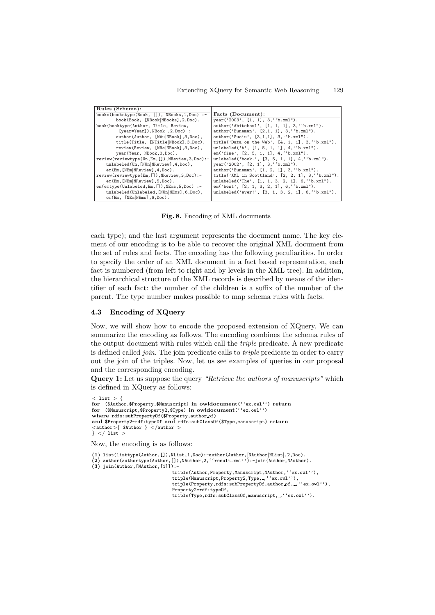| Rules (Schema):                                |                                                         |
|------------------------------------------------|---------------------------------------------------------|
| books(bookstype(Book, []), NBooks, 1, Doc) :-  | Facts (Document):                                       |
| book(Book, [NBook NBooks], 2, Doc).            | year('2003', [1, 1], 3, ''b.xml").                      |
| book(booktype(Author, Title, Review,           | author('Abiteboul', [1, 1, 1], 3, ''b.xml").            |
| [year=Year]), NBook , 2, Doc) :-               | author('Buneman', [2,1, 1], 3, ''b.xml").               |
| author(Author, [NAu NBook], 3, Doc),           | author('Suciu', [3,1,1], 3, ''b.xml").                  |
| title(Title, [NTitle NBook],3,Doc),            | title('Data on the Web', $[4, 1, 1]$ , 3, ''b.xml").    |
| review(Review, [NRe NBook], 3, Doc),           | unlabeled( $'A'$ , [1, 5, 1, 1], 4, $(b.xml")$ .        |
| year(Year, NBook, 3, Doc).                     | em('fine', [2, 5, 1, 1], 4, 'b.xml").                   |
| review(reviewtype(Un,Em,[]),NReview,3,Doc):-   | unlabeled('book.', [3, 5, 1, 1], 4, ''b.xml").          |
| unlabeled(Un, [NUn NReview], 4, Doc),          | year('2002', [2, 1], 3, 'b.xml").                       |
| em(Em, [NEm NReview], 4, Doc).                 | author ('Buneman', [1, 2, 1], 3, ''b.xml").             |
| review(reviewtype(Em, []), NReview, 3, Doc):-  | title('XML in Scottland', $[2, 2, 1]$ , $3, 'b.xml'$ ). |
| em(Em, [NEm NReview], 5, Doc).                 | unlabeled('The', [1, 1, 3, 2, 1], 6, ''b.xml").         |
| em(emtype(Unlabeled, Em, []), NEms, 5, Doc) :- | $em('best', [2, 1, 3, 2, 1], 6, 'b.xml").$              |
| unlabeled(Unlabeled, [NUn NEms], 6, Doc),      | unlabeled('ever!', [3, 1, 3, 2, 1], 6, ''b.xml").       |
| $em(Em, [NEm NEms], 6, Doc)$ .                 |                                                         |

<span id="page-12-0"></span>**Fig. 8.** Encoding of XML documents

each type); and the last argument represents the document name. The key element of our encoding is to be able to recover the original XML document from the set of rules and facts. The encoding has the following peculiarities. In order to specify the order of an XML document in a fact based representation, each fact is numbered (from left to right and by levels in the XML tree). In addition, the hierarchical structure of the XML records is described by means of the identifier of each fact: the number of the children is a suffix of the number of the parent. The type number makes possible to map schema rules with facts.

#### **4.3 Encoding of XQuery**

Now, we will show how to encode the proposed extension of XQuery. We can summarize the encoding as follows. The encoding combines the schema rules of the output document with rules which call the *triple* predicate. A new predicate is defined called *join*. The join predicate calls to *triple* predicate in order to carry out the join of the triples. Now, let us see examples of queries in our proposal and the corresponding encoding.

**Query 1:** Let us suppose the query *"Retrieve the authors of manuscripts"* which is defined in XQuery as follows:

```
< list > {
for ($Author,$Property,$Manuscript) in owldocument(''ex.owl'') return
for ($Manuscript,$Property2,$Type) in owldocument(''ex.owl'')
where rdfs:subPropertyOf($Property,author of)
and $Property2=rdf:typeOf and rdfs:subClassOf($Type,manuscript) return
<author>{ $Author } </author >
} </ list >
```
Now, the encoding is as follows:

```
(1) list(listtype(Author,[]),NList,1,Doc):-author(Author,[NAuthor|NList],2,Doc).
```

```
(2) author(authortype(Author,[]),NAuthor,2,''result.xml''):-join(Author,NAuthor).
(3) join(Author,[NAuthor,[1]]):-
```
triple(Author,Property,Manuscript,NAuthor,''ex.owl''), triple(Manuscript,Property2,Type, ,''ex.owl''), triple(Property,rdfs:subPropertyOf,author of, ,''ex.owl''), Property2=rdf:typeOf, triple(Type,rdfs:subClassOf,manuscript, ,''ex.owl'').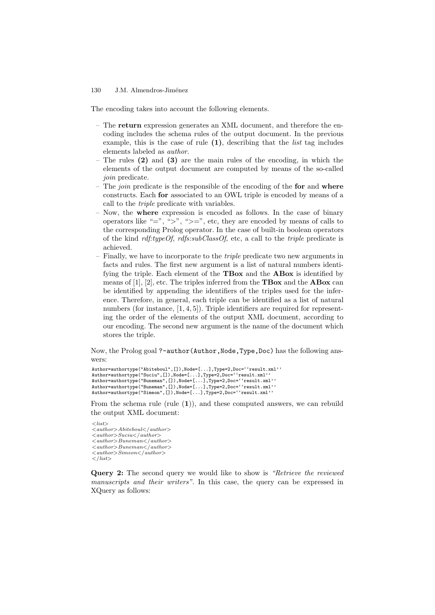The encoding takes into account the following elements.

- The **return** expression generates an XML document, and therefore the encoding includes the schema rules of the output document. In the previous example, this is the case of rule **(1)**, describing that the *list* tag includes elements labeled as *author*.
- The rules **(2)** and **(3)** are the main rules of the encoding, in which the elements of the output document are computed by means of the so-called *join* predicate.
- The *join* predicate is the responsible of the encoding of the **for** and **where** constructs. Each **for** associated to an OWL triple is encoded by means of a call to the *triple* predicate with variables.
- Now, the **where** expression is encoded as follows. In the case of binary operators like "=", ">", ">=", etc, they are encoded by means of calls to the corresponding Prolog operator. In the case of built-in boolean operators of the kind *rdf:typeOf*, *rdfs:subClassOf*, etc, a call to the *triple* predicate is achieved.
- Finally, we have to incorporate to the *triple* predicate two new arguments in facts and rules. The first new argument is a list of natural numbers identifying the triple. Each element of the **TBox** and the **ABox** is identified by means of [1], [2], etc. The triples inferred from the **TBox** and the **ABox** can be identified by appending the identifiers of the triples used for the inference. Therefore, in general, each triple can be identified as a list of natural numbers (for instance, [1*,* 4*,* 5]). Triple identifiers are required for representing the order of the elements of the output XML document, according to our encoding. The second new argument is the name of the document which stores the triple.

Now, the Prolog goal ?-author(Author,Node,Type,Doc) has the following answers:

```
Author=authortype("Abiteboul",[]),Node=[...],Type=2,Doc=''result.xml''
Author=authortype("Suciu",[]),Node=[...],Type=2,Doc=''result.xml''
Author=authortype("Buneman",[]),Node=[...],Type=2,Doc=''result.xml''
Author=authortype("Buneman",[]),Node=[...],Type=2,Doc=''result.xml''
Author=authortype("Simeon",[]),Node=[...],Type=2,Doc=''result.xml''
```
From the schema rule (rule (**1**)), and these computed answers, we can rebuild the output XML document:

*<list> <author>Abiteboul</author> <author>Suciu</author> <author>Buneman</author> <author>Buneman</author> <author>Simeon</author> </list>*

**Query 2:** The second query we would like to show is *"Retrieve the reviewed manuscripts and their writers"*. In this case, the query can be expressed in XQuery as follows: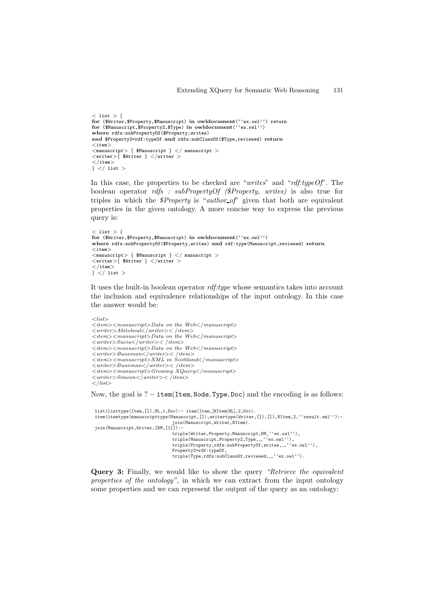```
< list > {
for ($Writer,$Property,$Manuscript) in owldocument(''ex.owl'') return
for ($Manuscript,$Property2,$Type) in owldocument(''ex.owl'')
where rdfs:subPropertyOf($Property,writes)
and $Property2=rdf:typeOf and rdfs:subClassOf($Type,reviewed) return
<item>
<manuscript> { $Manuscript } </ manuscript >
<writer>{ $Writer } </writer >
</item>
} </ list >
```
In this case, the properties to be checked are "*writes*" and "*rdf:typeOf*". The boolean operator *rdfs : subPropertyOf (\$Property, writes)* is also true for triples in which the *\$Property* is "*author of*" given that both are equivalent properties in the given ontology. A more concise way to express the previous query is:

```
< list > {
for ($Writer,$Property,$Manuscript) in owldocument(''ex.owl'')
where rdfs:subPropertyOf($Property,writes) and rdf:type(Manuscript,reviewed) return
<item>
<manuscript> { $Manuscript } </ manuscript >
<writer>{ $Writer } </writer >
</item>
} </ list >
```
It uses the built-in boolean operator *rdf:type* whose semantics takes into account the inclusion and equivalence relationships of the input ontology. In this case the answer would be:

```
<list>
<item><manuscript>Data on the Web</manuscript>
<writer>Abiteboul</writer>< /item>
<item><manuscript>Data on the Web</manuscript>
<writer>Suciu</writer>< /item>
<item><manuscript>Data on the Web</manuscript>
<writer>Buneman</writer>< /item>
<item><manuscript>XML in Scottland</manuscript>
<writer>Buneman</writer>< /item>
<item><manuscript>Growing XQuery</manuscript>
<writer>Simeon</writer>< /item>
</list>
Now, the goal is ? − item(Item, Node, Type, Doc) and the encoding is as follows:
 list(listtype(Item,[]),NL,1,Doc):- item(Item,[NItem|NL],2,Doc).
```

```
\verb|item(itemtype(\verb'manuscriptype(\verb'Manuscript,[]), writtentype(\verb'mitertype,[]),[]), NItem, 2, ``result.xml''):-join(Manuscript,Writer,NItem).
join(Manuscript,Writer,[NM,[1]]):-
                                               triple(Writer,Property,Manuscript,NM,''ex.owl''),
triple(Manuscript,Property2,Type, ,''ex.owl''),
triple(Property,rdfs:subPropertyOf,writes, ,''ex.owl''),
                                               Property2=rdf:typeOf,<br>triple(Type,rdfs:subClassOf,reviewed,_,''ex.owl'').
```
**Query 3:** Finally, we would like to show the query *"Retrieve the equivalent properties of the ontology"*, in which we can extract from the input ontology some properties and we can represent the output of the query as an ontology: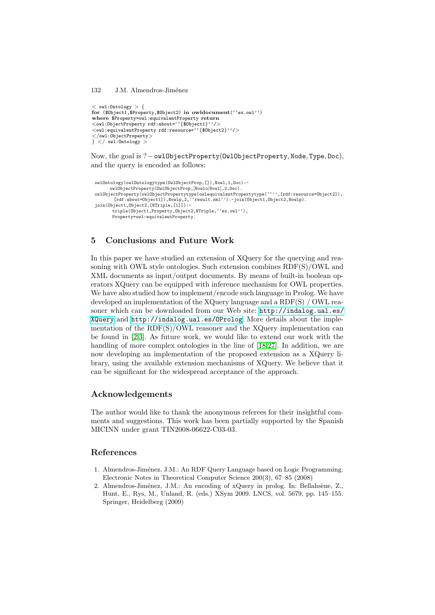```
< owl:Ontology > {
for ($Object1,$Property,$Object2) in owldocument(''ex.owl'')
where $Property=owl:equivalentProperty return
<owl:ObjectProperty rdf:about=''{$Object1}''/>
<owl:equivalentProperty rdf:resource=''{$Object2}''/>
</owl:ObjectProperty>
} </ owl:Ontology >
```
Now, the goal is ?−owlObjectProperty(OwlObjectProperty*,* Node*,* Type*,* Doc), and the query is encoded as follows:

```
owlOntology(owlOntologytype(OwlObjectProp,[]),Nowl,1,Doc):-
      owlObjectProperty(OwlObjectProp,[Nowlo|Nowl],2,Doc).
owlObjectProperty(owlObjectPropertytype(owlequivalentPropertytype('''',[rdf:resource=Object2]),
[rdf:about=Object1]),Nowlp,2,''result.xml''):-join(Object1,Object2,Nowlp).
join(Object1,Object2,[NTriple,[1]]):-
       triple(Object1,Property,Object2,NTriple,''ex.owl''),
       Property=owl:equivalentProperty.
```
# **5 Conclusions and Future Work**

In this paper we have studied an extension of XQuery for the querying and reasoning with OWL style ontologies. Such extension combines RDF(S)/OWL and XML documents as input/output documents. By means of built-in boolean operators XQuery can be equipped with inference mechanism for OWL properties. We have also studied how to implement/encode such language in Prolog. We have developed an implementation of the XQuery language and a RDF(S) / OWL reasoner which can be downloaded from our Web site: <http://indalog.ual.es/> <XQuery> and <http://indalog.ual.es/OProlog>. More details about the implementation of the  $RDF(S)/QWL$  reasoner and the XQuery implementation can be found in [\[2,](#page-15-1)[3\]](#page-16-17). As future work, we would like to extend our work with the handling of more complex ontologies in the line of [\[18](#page-16-13)[,27\]](#page-17-12). In addition, we are now developing an implementation of the proposed extension as a XQuery library, using the available extension mechanisms of XQuery. We believe that it can be significant for the widespread acceptance of the approach.

# **Acknowledgements**

The author would like to thank the anonymous referees for their insightful comments and suggestions. This work has been partially supported by the Spanish MICINN under grant TIN2008-06622-C03-03.

# **References**

- <span id="page-15-0"></span>1. Almendros-Jim´enez, J.M.: An RDF Query Language based on Logic Programming. Electronic Notes in Theoretical Computer Science 200(3), 67–85 (2008)
- <span id="page-15-1"></span>2. Almendros-Jiménez, J.M.: An encoding of  $xQu$ ery in prolog. In: Bellahsène, Z., Hunt, E., Rys, M., Unland, R. (eds.) XSym 2009. LNCS, vol. 5679, pp. 145–155. Springer, Heidelberg (2009)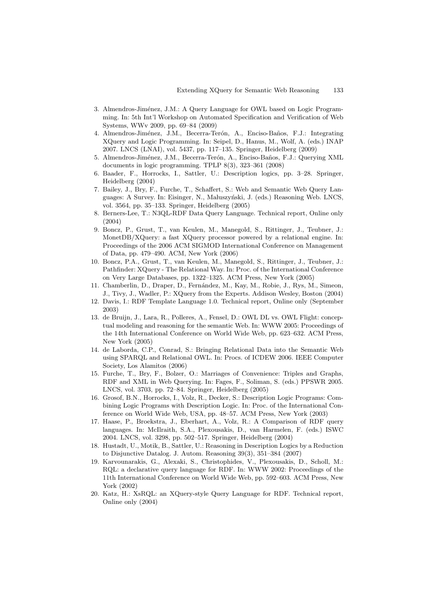- <span id="page-16-17"></span>3. Almendros-Jiménez, J.M.: A Query Language for OWL based on Logic Programming. In: 5th Int'l Workshop on Automated Specification and Verification of Web Systems, WWv 2009, pp. 69–84 (2009)
- <span id="page-16-15"></span>4. Almendros-Jiménez, J.M., Becerra-Terón, A., Enciso-Baños, F.J.: Integrating XQuery and Logic Programming. In: Seipel, D., Hanus, M., Wolf, A. (eds.) INAP 2007. LNCS (LNAI), vol. 5437, pp. 117–135. Springer, Heidelberg (2009)
- <span id="page-16-16"></span>5. Almendros-Jiménez, J.M., Becerra-Terón, A., Enciso-Baños, F.J.: Querying XML documents in logic programming. TPLP 8(3), 323–361 (2008)
- <span id="page-16-1"></span>6. Baader, F., Horrocks, I., Sattler, U.: Description logics, pp. 3–28. Springer, Heidelberg (2004)
- <span id="page-16-2"></span>7. Bailey, J., Bry, F., Furche, T., Schaffert, S.: Web and Semantic Web Query Languages: A Survey. In: Eisinger, N., Małuszyński, J. (eds.) Reasoning Web. LNCS, vol. 3564, pp. 35–133. Springer, Heidelberg (2005)
- <span id="page-16-8"></span>8. Berners-Lee, T.: N3QL-RDF Data Query Language. Technical report, Online only (2004)
- <span id="page-16-10"></span>9. Boncz, P., Grust, T., van Keulen, M., Manegold, S., Rittinger, J., Teubner, J.: MonetDB/XQuery: a fast XQuery processor powered by a relational engine. In: Proceedings of the 2006 ACM SIGMOD International Conference on Management of Data, pp. 479–490. ACM, New York (2006)
- <span id="page-16-11"></span>10. Boncz, P.A., Grust, T., van Keulen, M., Manegold, S., Rittinger, J., Teubner, J.: Pathfinder: XQuery - The Relational Way. In: Proc. of the International Conference on Very Large Databases, pp. 1322–1325. ACM Press, New York (2005)
- <span id="page-16-0"></span>11. Chamberlin, D., Draper, D., Fern´andez, M., Kay, M., Robie, J., Rys, M., Simeon, J., Tivy, J., Wadler, P.: XQuery from the Experts. Addison Wesley, Boston (2004)
- <span id="page-16-6"></span>12. Davis, I.: RDF Template Language 1.0. Technical report, Online only (September 2003)
- <span id="page-16-14"></span>13. de Bruijn, J., Lara, R., Polleres, A., Fensel, D.: OWL DL vs. OWL Flight: conceptual modeling and reasoning for the semantic Web. In: WWW 2005: Proceedings of the 14th International Conference on World Wide Web, pp. 623–632. ACM Press, New York (2005)
- <span id="page-16-4"></span>14. de Laborda, C.P., Conrad, S.: Bringing Relational Data into the Semantic Web using SPARQL and Relational OWL. In: Procs. of ICDEW 2006. IEEE Computer Society, Los Alamitos (2006)
- <span id="page-16-9"></span>15. Furche, T., Bry, F., Bolzer, O.: Marriages of Convenience: Triples and Graphs, RDF and XML in Web Querying. In: Fages, F., Soliman, S. (eds.) PPSWR 2005. LNCS, vol. 3703, pp. 72–84. Springer, Heidelberg (2005)
- <span id="page-16-12"></span>16. Grosof, B.N., Horrocks, I., Volz, R., Decker, S.: Description Logic Programs: Combining Logic Programs with Description Logic. In: Proc. of the International Conference on World Wide Web, USA, pp. 48–57. ACM Press, New York (2003)
- <span id="page-16-3"></span>17. Haase, P., Broekstra, J., Eberhart, A., Volz, R.: A Comparison of RDF query languages. In: McIlraith, S.A., Plexousakis, D., van Harmelen, F. (eds.) ISWC 2004. LNCS, vol. 3298, pp. 502–517. Springer, Heidelberg (2004)
- <span id="page-16-13"></span>18. Hustadt, U., Motik, B., Sattler, U.: Reasoning in Description Logics by a Reduction to Disjunctive Datalog. J. Autom. Reasoning 39(3), 351–384 (2007)
- <span id="page-16-5"></span>19. Karvounarakis, G., Alexaki, S., Christophides, V., Plexousakis, D., Scholl, M.: RQL: a declarative query language for RDF. In: WWW 2002: Proceedings of the 11th International Conference on World Wide Web, pp. 592–603. ACM Press, New York (2002)
- <span id="page-16-7"></span>20. Katz, H.: XsRQL: an XQuery-style Query Language for RDF. Technical report, Online only (2004)